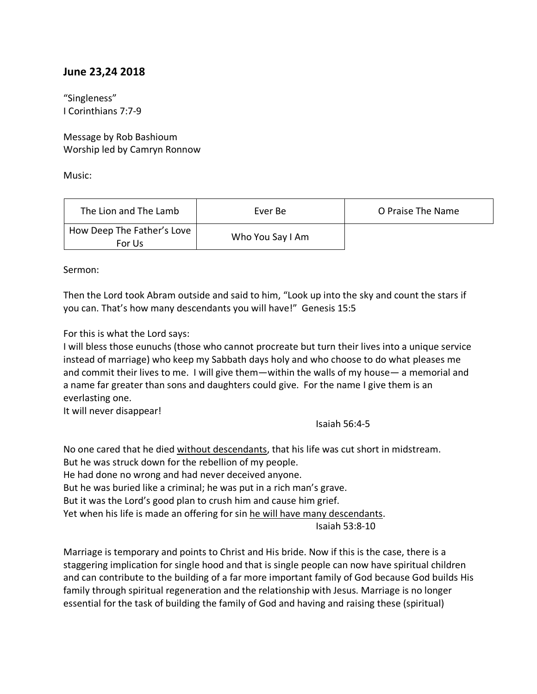## **June 23,24 2018**

"Singleness" I Corinthians 7:7-9

Message by Rob Bashioum Worship led by Camryn Ronnow

Music:

| The Lion and The Lamb                | Ever Be          | O Praise The Name |
|--------------------------------------|------------------|-------------------|
| How Deep The Father's Love<br>For Us | Who You Say I Am |                   |

Sermon:

Then the Lord took Abram outside and said to him, "Look up into the sky and count the stars if you can. That's how many descendants you will have!" Genesis 15:5

For this is what the Lord says:

I will bless those eunuchs (those who cannot procreate but turn their lives into a unique service instead of marriage) who keep my Sabbath days holy and who choose to do what pleases me and commit their lives to me. I will give them—within the walls of my house— a memorial and a name far greater than sons and daughters could give. For the name I give them is an everlasting one.

It will never disappear!

Isaiah 56:4-5

No one cared that he died without descendants, that his life was cut short in midstream. But he was struck down for the rebellion of my people. He had done no wrong and had never deceived anyone. But he was buried like a criminal; he was put in a rich man's grave. But it was the Lord's good plan to crush him and cause him grief. Yet when his life is made an offering for sin he will have many descendants. Isaiah 53:8-10

Marriage is temporary and points to Christ and His bride. Now if this is the case, there is a staggering implication for single hood and that is single people can now have spiritual children and can contribute to the building of a far more important family of God because God builds His family through spiritual regeneration and the relationship with Jesus. Marriage is no longer essential for the task of building the family of God and having and raising these (spiritual)